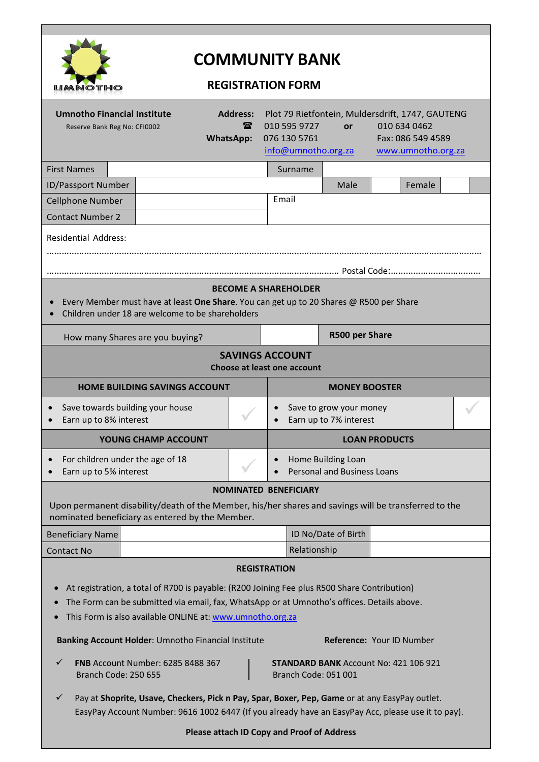

# **COMMUNITY BANK**

## **REGISTRATION FORM**

| <b>Umnotho Financial Institute</b><br>Reserve Bank Reg No: CFI0002                                                                                                                                                                                                             |  | <b>Address:</b><br>$\mathbf{r}$<br><b>WhatsApp:</b> | Plot 79 Rietfontein, Muldersdrift, 1747, GAUTENG<br>010 595 9727<br>010 634 0462<br>or<br>076 130 5761<br>Fax: 086 549 4589<br>info@umnotho.org.za<br>www.umnotho.org.za |                     |                |  |        |  |  |
|--------------------------------------------------------------------------------------------------------------------------------------------------------------------------------------------------------------------------------------------------------------------------------|--|-----------------------------------------------------|--------------------------------------------------------------------------------------------------------------------------------------------------------------------------|---------------------|----------------|--|--------|--|--|
| <b>First Names</b>                                                                                                                                                                                                                                                             |  |                                                     |                                                                                                                                                                          | Surname             |                |  |        |  |  |
| ID/Passport Number                                                                                                                                                                                                                                                             |  |                                                     |                                                                                                                                                                          |                     | Male           |  | Female |  |  |
| <b>Cellphone Number</b>                                                                                                                                                                                                                                                        |  |                                                     | Email                                                                                                                                                                    |                     |                |  |        |  |  |
| <b>Contact Number 2</b>                                                                                                                                                                                                                                                        |  |                                                     |                                                                                                                                                                          |                     |                |  |        |  |  |
| <b>Residential Address:</b>                                                                                                                                                                                                                                                    |  |                                                     |                                                                                                                                                                          |                     |                |  |        |  |  |
|                                                                                                                                                                                                                                                                                |  |                                                     |                                                                                                                                                                          |                     |                |  |        |  |  |
| <b>BECOME A SHAREHOLDER</b><br>Every Member must have at least One Share. You can get up to 20 Shares @ R500 per Share<br>Children under 18 are welcome to be shareholders                                                                                                     |  |                                                     |                                                                                                                                                                          |                     |                |  |        |  |  |
| How many Shares are you buying?                                                                                                                                                                                                                                                |  |                                                     |                                                                                                                                                                          |                     | R500 per Share |  |        |  |  |
| <b>SAVINGS ACCOUNT</b><br>Choose at least one account                                                                                                                                                                                                                          |  |                                                     |                                                                                                                                                                          |                     |                |  |        |  |  |
| <b>HOME BUILDING SAVINGS ACCOUNT</b>                                                                                                                                                                                                                                           |  |                                                     | <b>MONEY BOOSTER</b>                                                                                                                                                     |                     |                |  |        |  |  |
| Save towards building your house<br>Earn up to 8% interest                                                                                                                                                                                                                     |  |                                                     | Save to grow your money<br>Earn up to 7% interest                                                                                                                        |                     |                |  |        |  |  |
| YOUNG CHAMP ACCOUNT                                                                                                                                                                                                                                                            |  |                                                     | <b>LOAN PRODUCTS</b>                                                                                                                                                     |                     |                |  |        |  |  |
| For children under the age of 18<br>$\bullet$<br>Earn up to 5% interest                                                                                                                                                                                                        |  |                                                     | Home Building Loan<br><b>Personal and Business Loans</b>                                                                                                                 |                     |                |  |        |  |  |
| <b>NOMINATED BENEFICIARY</b>                                                                                                                                                                                                                                                   |  |                                                     |                                                                                                                                                                          |                     |                |  |        |  |  |
| Upon permanent disability/death of the Member, his/her shares and savings will be transferred to the<br>nominated beneficiary as entered by the Member.                                                                                                                        |  |                                                     |                                                                                                                                                                          |                     |                |  |        |  |  |
| <b>Beneficiary Name</b>                                                                                                                                                                                                                                                        |  |                                                     |                                                                                                                                                                          | ID No/Date of Birth |                |  |        |  |  |
| <b>Contact No</b>                                                                                                                                                                                                                                                              |  |                                                     |                                                                                                                                                                          | Relationship        |                |  |        |  |  |
| <b>REGISTRATION</b><br>At registration, a total of R700 is payable: (R200 Joining Fee plus R500 Share Contribution)<br>The Form can be submitted via email, fax, WhatsApp or at Umnotho's offices. Details above.<br>This Form is also available ONLINE at: www.umnotho.org.za |  |                                                     |                                                                                                                                                                          |                     |                |  |        |  |  |
| Reference: Your ID Number<br>Banking Account Holder: Umnotho Financial Institute                                                                                                                                                                                               |  |                                                     |                                                                                                                                                                          |                     |                |  |        |  |  |
| FNB Account Number: 6285 8488 367<br>✓<br><b>Branch Code: 250 655</b>                                                                                                                                                                                                          |  |                                                     | <b>STANDARD BANK Account No: 421 106 921</b><br>Branch Code: 051 001                                                                                                     |                     |                |  |        |  |  |
| $\checkmark$<br>Pay at Shoprite, Usave, Checkers, Pick n Pay, Spar, Boxer, Pep, Game or at any EasyPay outlet.<br>EasyPay Account Number: 9616 1002 6447 (If you already have an EasyPay Acc, please use it to pay).                                                           |  |                                                     |                                                                                                                                                                          |                     |                |  |        |  |  |
| <b>Please attach ID Copy and Proof of Address</b>                                                                                                                                                                                                                              |  |                                                     |                                                                                                                                                                          |                     |                |  |        |  |  |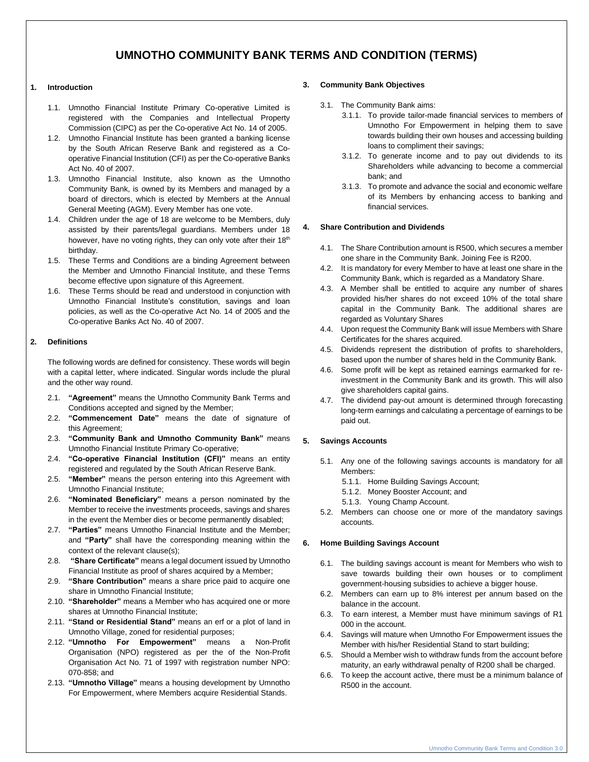### **UMNOTHO COMMUNITY BANK TERMS AND CONDITION (TERMS)**

#### **1. Introduction**

- 1.1. Umnotho Financial Institute Primary Co-operative Limited is registered with the Companies and Intellectual Property Commission (CIPC) as per the Co-operative Act No. 14 of 2005.
- 1.2. Umnotho Financial Institute has been granted a banking license by the South African Reserve Bank and registered as a Cooperative Financial Institution (CFI) as per the Co-operative Banks Act No. 40 of 2007.
- 1.3. Umnotho Financial Institute, also known as the Umnotho Community Bank, is owned by its Members and managed by a board of directors, which is elected by Members at the Annual General Meeting (AGM). Every Member has one vote.
- 1.4. Children under the age of 18 are welcome to be Members, duly assisted by their parents/legal guardians. Members under 18 however, have no voting rights, they can only vote after their 18<sup>th</sup> birthday.
- 1.5. These Terms and Conditions are a binding Agreement between the Member and Umnotho Financial Institute, and these Terms become effective upon signature of this Agreement.
- 1.6. These Terms should be read and understood in conjunction with Umnotho Financial Institute's constitution, savings and loan policies, as well as the Co-operative Act No. 14 of 2005 and the Co-operative Banks Act No. 40 of 2007.

#### **2. Definitions**

The following words are defined for consistency. These words will begin with a capital letter, where indicated. Singular words include the plural and the other way round.

- 2.1. **"Agreement"** means the Umnotho Community Bank Terms and Conditions accepted and signed by the Member;
- 2.2. **"Commencement Date"** means the date of signature of this Agreement;
- 2.3. **"Community Bank and Umnotho Community Bank"** means Umnotho Financial Institute Primary Co-operative;
- 2.4. **"Co-operative Financial Institution (CFI)"** means an entity registered and regulated by the South African Reserve Bank.
- 2.5. **"Member"** means the person entering into this Agreement with Umnotho Financial Institute;
- 2.6. **"Nominated Beneficiary"** means a person nominated by the Member to receive the investments proceeds, savings and shares in the event the Member dies or become permanently disabled;
- 2.7. **"Parties"** means Umnotho Financial Institute and the Member; and **"Party"** shall have the corresponding meaning within the context of the relevant clause(s);
- 2.8. **"Share Certificate"** means a legal document issued by Umnotho Financial Institute as proof of shares acquired by a Member;
- 2.9. **"Share Contribution"** means a share price paid to acquire one share in Umnotho Financial Institute;
- 2.10. **"Shareholder"** means a Member who has acquired one or more shares at Umnotho Financial Institute;
- 2.11. **"Stand or Residential Stand"** means an erf or a plot of land in Umnotho Village, zoned for residential purposes;
- 2.12. **"Umnotho For Empowerment"** means a Non-Profit Organisation (NPO) registered as per the of the Non-Profit Organisation Act No. 71 of 1997 with registration number NPO: 070-858; and
- 2.13. **"Umnotho Village"** means a housing development by Umnotho For Empowerment, where Members acquire Residential Stands.

#### **3. Community Bank Objectives**

- 3.1. The Community Bank aims:
	- 3.1.1. To provide tailor-made financial services to members of Umnotho For Empowerment in helping them to save towards building their own houses and accessing building loans to compliment their savings;
	- 3.1.2. To generate income and to pay out dividends to its Shareholders while advancing to become a commercial bank; and
	- 3.1.3. To promote and advance the social and economic welfare of its Members by enhancing access to banking and financial services.

#### **4. Share Contribution and Dividends**

- 4.1. The Share Contribution amount is R500, which secures a member one share in the Community Bank. Joining Fee is R200.
- 4.2. It is mandatory for every Member to have at least one share in the Community Bank, which is regarded as a Mandatory Share.
- 4.3. A Member shall be entitled to acquire any number of shares provided his/her shares do not exceed 10% of the total share capital in the Community Bank. The additional shares are regarded as Voluntary Shares
- 4.4. Upon request the Community Bank will issue Members with Share Certificates for the shares acquired.
- 4.5. Dividends represent the distribution of profits to shareholders, based upon the number of shares held in the Community Bank.
- 4.6. Some profit will be kept as retained earnings earmarked for reinvestment in the Community Bank and its growth. This will also give shareholders capital gains.
- 4.7. The dividend pay-out amount is determined through forecasting long-term earnings and calculating a percentage of earnings to be paid out.

#### **5. Savings Accounts**

- 5.1. Any one of the following savings accounts is mandatory for all Members:
	- 5.1.1. Home Building Savings Account;
	- 5.1.2. Money Booster Account; and
	- 5.1.3. Young Champ Account.
- 5.2. Members can choose one or more of the mandatory savings accounts.

#### **6. Home Building Savings Account**

- 6.1. The building savings account is meant for Members who wish to save towards building their own houses or to compliment government-housing subsidies to achieve a bigger house.
- 6.2. Members can earn up to 8% interest per annum based on the balance in the account.
- 6.3. To earn interest, a Member must have minimum savings of R1 000 in the account.
- 6.4. Savings will mature when Umnotho For Empowerment issues the Member with his/her Residential Stand to start building;
- 6.5. Should a Member wish to withdraw funds from the account before maturity, an early withdrawal penalty of R200 shall be charged.
- 6.6. To keep the account active, there must be a minimum balance of R500 in the account.